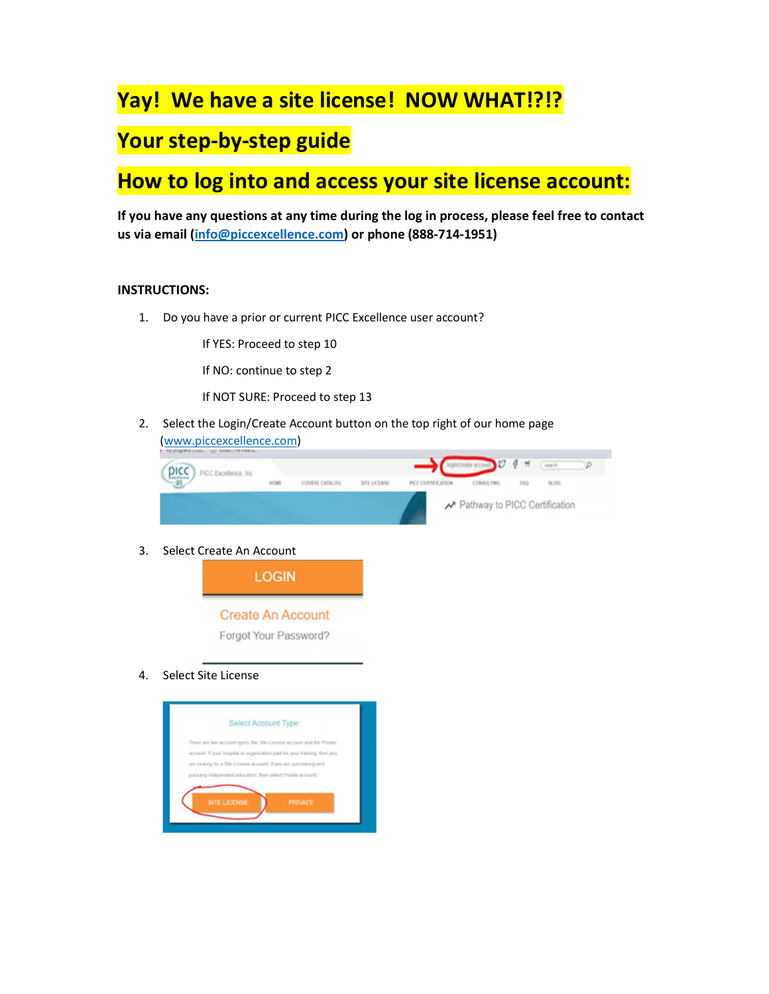## Yay! We have a site license! NOW WHAT!?!?

## Your step-by-step guide

## How to log into and access your site license account:

If you have any questions at any time during the log in process, please feel free to contact us via email (info@piccexcellence.com) or phone (888-714-1951)

## INSTRUCTIONS:

1. Do you have a prior or current PICC Excellence user account?

If YES: Proceed to step 10

If NO: continue to step 2

If NOT SURE: Proceed to step 13

2. Select the Login/Create Account button on the top right of our home page (www.piccexcellence.com)



3. Select Create An Account



4. Select Site License

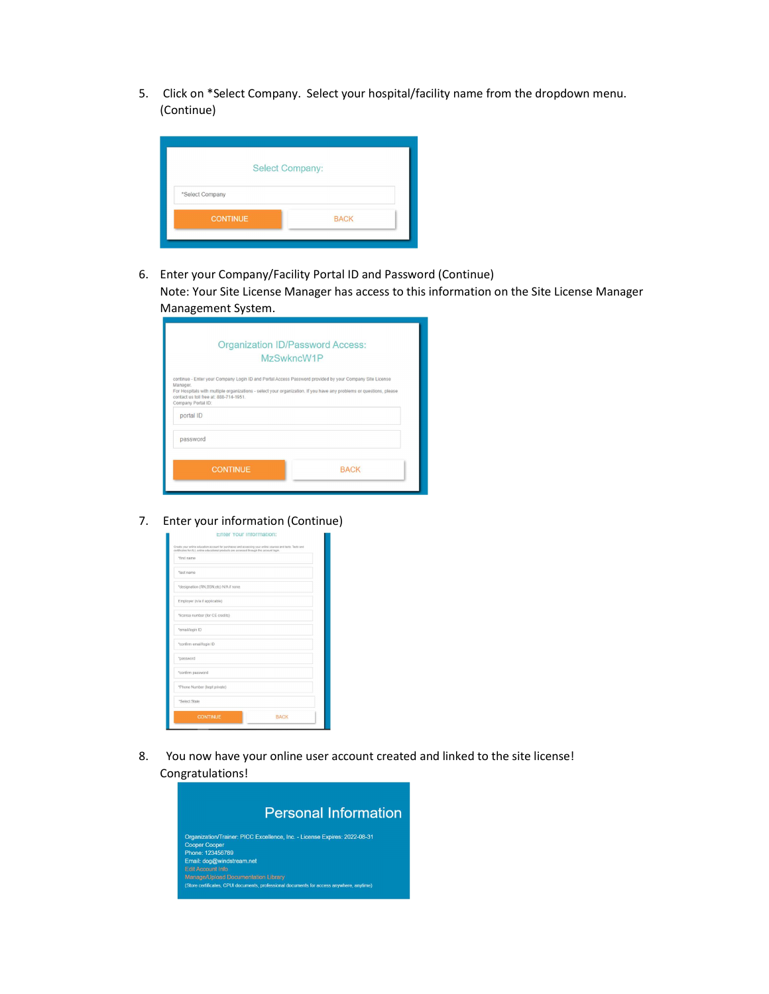5. Click on \*Select Company. Select your hospital/facility name from the dropdown menu. (Continue)

| <b>Select Company:</b> |             |
|------------------------|-------------|
| *Select Company        |             |
| <b>CONTINUE</b>        | <b>BACK</b> |

6. Enter your Company/Facility Portal ID and Password (Continue) Note: Your Site License Manager has access to this information on the Site License Manager Management System.

|                                                                                                                                                                                                 | <b>Organization ID/Password Access:</b><br>MzSwkncW1P                                                               |
|-------------------------------------------------------------------------------------------------------------------------------------------------------------------------------------------------|---------------------------------------------------------------------------------------------------------------------|
| continue - Enter your Company Login ID and Portal Access Password provided by your Company Site License<br>Manager.<br>contact us toll free at: 888-714-1951<br>Company Portal ID:<br>portal ID | For Hospitals with multiple organizations - select your organization. If you have any problems or questions, please |
| password                                                                                                                                                                                        |                                                                                                                     |
| <b>CONTINUE</b>                                                                                                                                                                                 | <b>BACK</b>                                                                                                         |
|                                                                                                                                                                                                 |                                                                                                                     |

7. Enter your information (Continue)

| *first name                            |             |
|----------------------------------------|-------------|
| "last name                             |             |
| *designation (RN,BSN,etc) N/A if none. |             |
| Employer (n/a if applicable)           |             |
| *license number (for CE credits)       |             |
| "email/login ID                        |             |
| "confirm email/login ID                |             |
| "password                              |             |
| "confirm password                      |             |
| *Phone Number (kept private)           |             |
| *Select State                          |             |
| <b>CONTINUE</b>                        | <b>BACK</b> |

8. You now have your online user account created and linked to the site license! Congratulations!

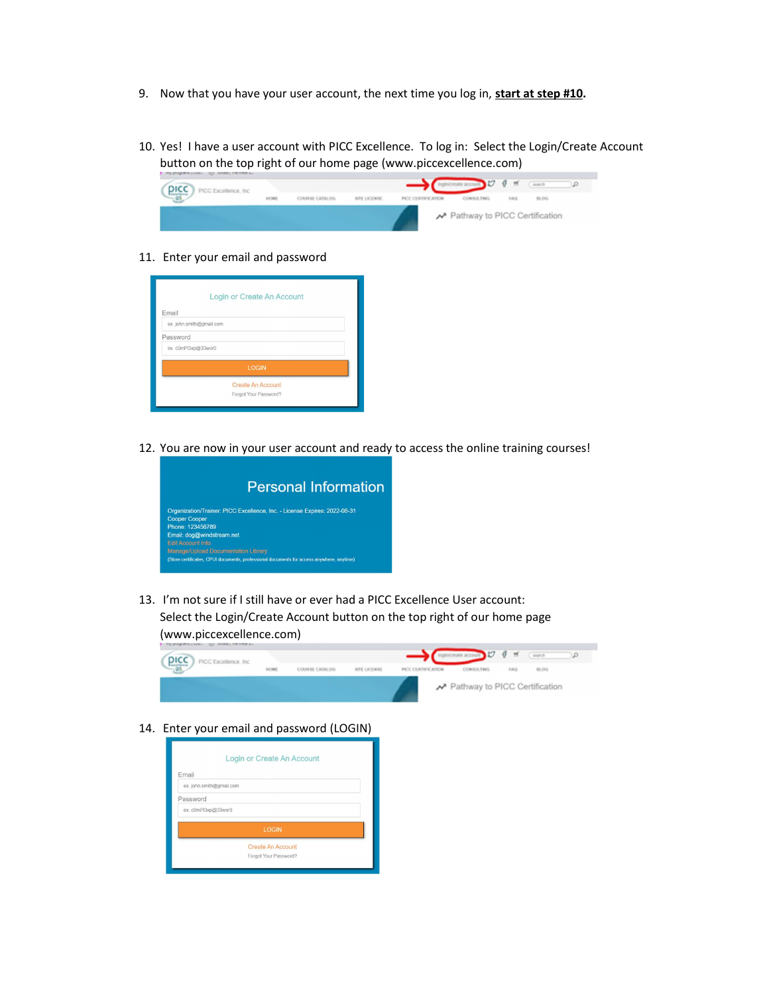- 9. Now that you have your user account, the next time you log in, start at step #10.
- 10. Yes! I have a user account with PICC Excellence. To log in: Select the Login/Create Account button on the top right of our home page (www.piccexcellence.com)



11. Enter your email and password



12. You are now in your user account and ready to access the online training courses!



13. I'm not sure if I still have or ever had a PICC Excellence User account: Select the Login/Create Account button on the top right of our home page (www.piccexcellence.com)



14. Enter your email and password (LOGIN)

|                          | Login or Create An Account |  |
|--------------------------|----------------------------|--|
| Email                    |                            |  |
| ex. john.smith@gmail.com |                            |  |
| Password                 |                            |  |
| ex. c0mPl3xp@33wor0      |                            |  |
|                          | <b>LOGIN</b>               |  |
|                          | <b>Create An Account</b>   |  |
|                          | Forgot Your Password?      |  |